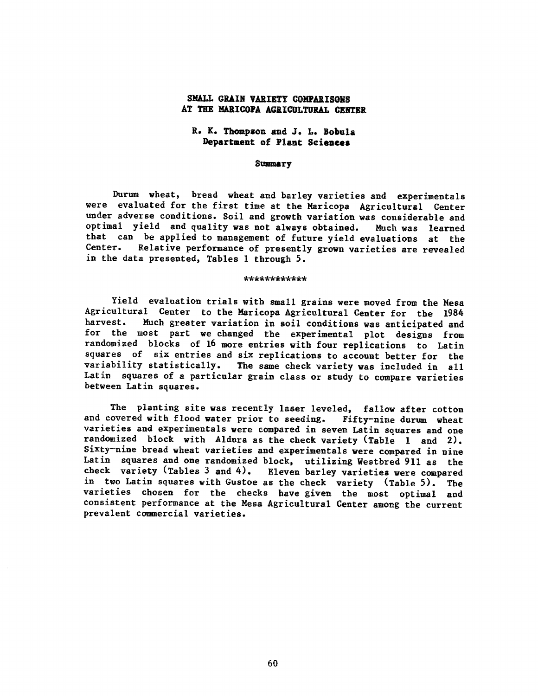### SMALL GRAIN VARIETY COMPARISONS AT THE MARICOPA AGRICULTURAL CENTER

## R. K. Thompson and J. L. Bobula Department of Plant Sciences

### Summary

Durum wheat, bread wheat and barley varieties and experimentals were evaluated for the first time at the Maricopa Agricultural Center under adverse conditions. Soil and growth variation was considerable and<br>optimal yield and quality was not always obtained. Much was learned optimal yield and quality was not always obtained. that can be applied to management of future yield evaluations at the<br>Center. Relative performance of presently grown varieties are revealed Relative performance of presently grown varieties are revealed in the data presented, Tables 1 through 5.

#### \*\*\*\*\*\*\*\*\*\*\*\*

Yield evaluation trials with small grains were moved from the Mesa Agricultural Center to the Maricopa Agricultural Center for the 1984<br>harvest. Much greater variation in soil conditions was anticipated and Much greater variation in soil conditions was anticipated and for the most part we changed the experimental plot designs from randomized blocks of 16 more entries with four replications to Latin squares of six entries and six replications to account better for the<br>variability statistically. The same check variety was included in all The same check variety was included in all Latin squares of a particular grain class or study to compare varieties between Latin squares.

The planting site was recently laser leveled, fallow after cotton<br>covered with flood water prior to seeding. Fifty-nine durum wheat and covered with flood water prior to seeding. varieties and experimentals were compared in seven Latin squares and one randomized block with Aldura as the check variety (Table <sup>1</sup> and 2). Sixty-nine bread wheat varieties and experimentals were compared in nine Latin squares and one randomized block, utilizing Westbred 911 as the check variety (Tables 3 and 4). Eleven barley varieties were compared in two Latin squares with Gustoe as the check variety (Table 5). The varieties chosen for the checks have given the most optimal and consistent performance at the Mesa Agricultural Center among the current prevalent commercial varieties.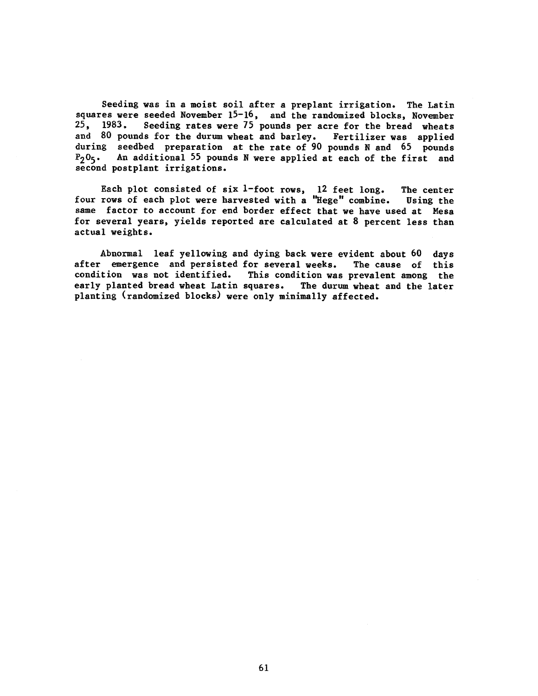Seeding was in a moist soil after a preplant irrigation. The Latin squares were seeded November 15-16, and the randomized blocks, November 25, 1983. Seeding rates were 75 pounds per acre for the bread wheats and 80 pounds for the durum wheat and barley. Fertilizer was applied during seedbed preparation at the rate of 90 pounds N and 65 pounds  $P_2O_5$ . An additional 55 pounds N were applied at each of the first and second postplant irrigations.

Each plot consisted of six 1-foot rows, 12 feet long. The center four rows of each plot were harvested with a "Hege" combine. Using the same factor to account for end border effect that we have used at Mesa for several years, yields reported are calculated at 8 percent less than actual weights.

Abnormal leaf yellowing and dying back were evident about 60 days after emergence and persisted for several weeks. The cause of this condition was not identified. This condition was prevalent among the early planted bread wheat Latin squares. The durum wheat and the later planting (randomized blocks) were only minimally affected.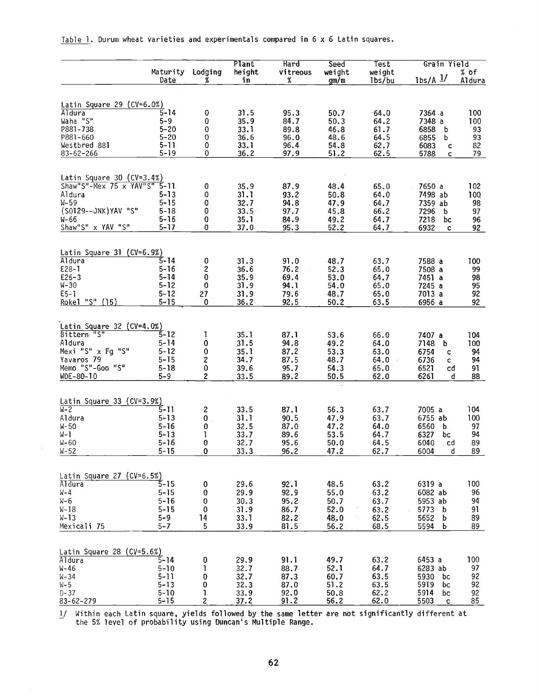|                                                              |                      |         | Plant        | Hard         | Seed         | Test         | Grain Yield        |          |  |
|--------------------------------------------------------------|----------------------|---------|--------------|--------------|--------------|--------------|--------------------|----------|--|
|                                                              | Maturity             | Lodging | height<br>in | vitreous     | weight       | weight       | $1bs/A$ $1/$       | $%$ of   |  |
|                                                              | Date                 | X,      |              | %            | gm/m         | 1bs/bu       |                    | Aldura   |  |
|                                                              |                      |         |              |              |              |              |                    |          |  |
| Latin Square 29 $(CV=6.0%)$<br>Aldura                        | $5 - 14$             | 0       | 31.5         | 95.3         | 50.7         | $-64.0$      | 7364 a             | 100      |  |
| Waha "S"                                                     | $5 - 9$              | 0       | 35.9         | 84.7         | 50.3         | 64.2         | 7348 a             | 100      |  |
| P881-738                                                     | 5-20                 | 0       | 33.1         | 89.8         | 46.8         | 61.7         | 6858<br>b          | 93       |  |
| P881-660                                                     | $5 - 20$             | 0       | 36.6         | 96.0         | 48.6         | 64.5         | 6855<br>b          | 93       |  |
| Westbred 881                                                 | $5 - 11$             | 0       | 33.1         | 96.4         | 54.8         | 62.7         | 6083<br>c          | 82       |  |
| $83 - 62 - 266$                                              | $5 - 19$             | 0       | 36.2         | 97.9         | 51.2         | 62.5         | 5788<br>c          | 79       |  |
|                                                              |                      |         |              |              |              |              |                    |          |  |
|                                                              |                      |         |              |              |              |              |                    |          |  |
| Latin Square 30 $(CV=3.4\%)$<br>Shaw"S"-Mex 75 x YAV"S" 5-11 |                      | 0       | 35.9         | 87.9         | 48.4         | 65.0         | 7650 a             | 102      |  |
| Aldura                                                       | 5-13                 | 0       | 31.1         | 93.2         | 50.8         | 64.0         | 7498 ab            | 100      |  |
| $W - 59$                                                     | $5 - 15$             | 0       | 32.7         | 94.8         | 47.9         | 64.7         |                    | 98       |  |
| (S0129--JNK)YAV "S"                                          | $5 - 18$             |         |              |              |              |              | 7359 ab            |          |  |
|                                                              |                      | 0       | 33.5         | 97.7         | 45.8         | 66.2         | 7296<br>b          | 97       |  |
| W-66                                                         | $5 - 16$             | 0       | 35.1         | 84.9         | 49.2         | 64.7         | 7218<br>bc         | 96       |  |
| Shaw"S" x YAV "S"                                            | $5 - 17$             | 0       | 37.0         | 95.3         | 52.2         | 64.7         | 6932<br>c          | 92       |  |
|                                                              |                      |         |              |              |              |              |                    |          |  |
| Latin Square 31 ( $CV=6.9\%)$                                |                      |         |              |              |              |              |                    |          |  |
| Aldura                                                       | $5 - 14$             | 0       | 31.3         | 91.0         | 48.7         | 63.7         | 7588 a             | 100      |  |
| $E28 - I$                                                    | $5 - 16$             | 2       | 36.6         | 76.2         | 52.3         | 65.0         | 7508 a             | 99       |  |
| $E26 - 3$                                                    | $5 - 14$             | 0       | 35.9         | 69.4         | 53.0         | 64.7         | 7451 a             | 98       |  |
| $W - 30$                                                     | 5-12                 | 0       | 31.9         | 94.1         | 54.0         | 65.0         | 7245 a             | 95       |  |
| $E5 - 1$                                                     | $5 - 12$             | 27      | 31.9         | 79.6         | 48.7         | 65.0         | 7013 a             | 92       |  |
| Rokel "S" (15)                                               | $5 - 15$             | 0       | 36.2         | 92.5         | 50.2         | 63.5         | 6956 a             | 92       |  |
|                                                              |                      |         |              |              |              |              |                    |          |  |
| Latin Square 32 ( $CV=4.0\%)$                                |                      |         |              |              |              |              |                    |          |  |
| Bittern "S"                                                  | 5-12                 | L       | 35.1         | 87.1         | 53.6         | 66.0         | 7407 a             | 104      |  |
| Aldura                                                       | 5-14                 | 0       | 31.5         | 94.8         | 49.2         | 64.0         | 7148<br>b          | 100      |  |
| Mexi "S" x Fg "S"                                            | $5 - 12$             | 0       | 35.1         | 87.2         | 53.3         | 63.0         | 6754<br>c          | 94       |  |
| Yavaros 79                                                   | $5 - 15$             | 2       | 34.7         | 87.5         | 48.7         | 64.0         | 6736<br>c.         | 94       |  |
| Memo "S"-Goo "S"                                             | $5 - 18$             | 0       | 39.6         | 95.7         | 54.3         | 65.0         | 6521<br>cd         | 91       |  |
| WDE-80-10                                                    | 5–9                  | 2       | 33.5         | 89.2         | 50.5         | 62.0         | 6261<br>d          | 88       |  |
|                                                              |                      |         |              |              |              |              |                    |          |  |
| Latin Square 33 ( $CV=3.9\%)$                                |                      |         |              |              |              |              |                    |          |  |
| $W-2$                                                        | 5-11                 | 2       | 33.5         | 87.1         | 56.3         | 63.7         | 7005 a             | 104      |  |
| Aldura                                                       | $5 - 13$             | 0       | 31.1         | 90.5         | 47.9         | 63.7         | 6755 ab            | 100      |  |
|                                                              |                      |         |              |              |              |              |                    |          |  |
| W-50                                                         | $5 - 16$             | 0       | 32.5         | 87.0         | 47.2         | 64.0         | 6560<br>b          | 97       |  |
| W- 1                                                         | $5 - 13$<br>$5 - 16$ | 1       | 33.7         | 89.6         | 53.5         | 64.7         | 6327<br>bc<br>6040 | 94       |  |
| W-60<br>W-52                                                 | $5 - 15$             | 0<br>0  | 32.7<br>33.3 | 95.6<br>96.2 | 50.0<br>47.2 | 64.5<br>62.7 | cd<br>6004<br>d    | 89<br>89 |  |
|                                                              |                      |         |              |              |              |              |                    |          |  |
|                                                              |                      |         |              |              |              |              |                    |          |  |
| Latin Square 27 (CV=6.5%)                                    |                      |         |              |              |              |              |                    |          |  |
| Aldura                                                       | $5 - 15$             | 0       | 29.6         | 92.1         | 48.5         | 63.2         | 6319 a             | 100      |  |
| W-4                                                          | $5 - 15$             | 0       | 29.9         | 92.9         | 55.0         | 63.2         | 6082 ab            | 96       |  |
| W-6                                                          | 5-16                 | 0       | 30.3         | 95.2         | 50.7         | 63.7         | 5953 ab            | 94       |  |
| W-18                                                         | $5 - 15$             | 0       | 31.9         | 86.7         | 52.0         | 63.2         | 5773 b             | 91       |  |
| W-13                                                         | $5 - 9$              | 14      | 33.1         | 82.2         | 48,0         | 62.5         | 5652 b             | 89       |  |
| Mexicali 75                                                  | $5 - 7$              | 5       | 33.9         | 81.5         | 56.2         | 68.5         | 5594 b             | 89       |  |
|                                                              |                      |         |              |              |              |              |                    |          |  |
| Latin Square 28 (CV=5.6%)                                    |                      |         |              |              |              |              |                    |          |  |
| Aldura                                                       | $5 - 14$             | 0       | 29.9         | 91.1         | 49.7         | 63.2         | 6453 a             | 100      |  |
| w-46                                                         | $5 - 10$             | 1       | 32.7         | 88.7         | 52.1         | 64.7         | 6283 ab            | 97       |  |
| W-34                                                         | 5-11                 | 0       | 32.7         | 87.3         | 60.7         | 63.5         | 5930 bc            | 92       |  |
| W-5                                                          | $5 - 13$             | 0       | 32.3         | 87.0         | 51.2         | 63.5         | 5919<br>bc         | 92       |  |
| D-37                                                         | $5 - 10$             | ı       | 33.9         | 92.0         | 50.8         | 62.2         | 5914<br>bc         | 92       |  |
| 83-62-279                                                    | $5 - 15$             | 2       | 37.2         | 91.2         | 56.2         | 62.0         | 5503               | 85       |  |
|                                                              |                      |         |              |              |              |              | - C                |          |  |

Table 1. Durum wheat varieties and experimentals compared in 6 x 6 Latin squares.

1/ Within each Latin square, yields followed by the same letter are not significantly different at the 5% level of probability using Duncan's Multiple Range.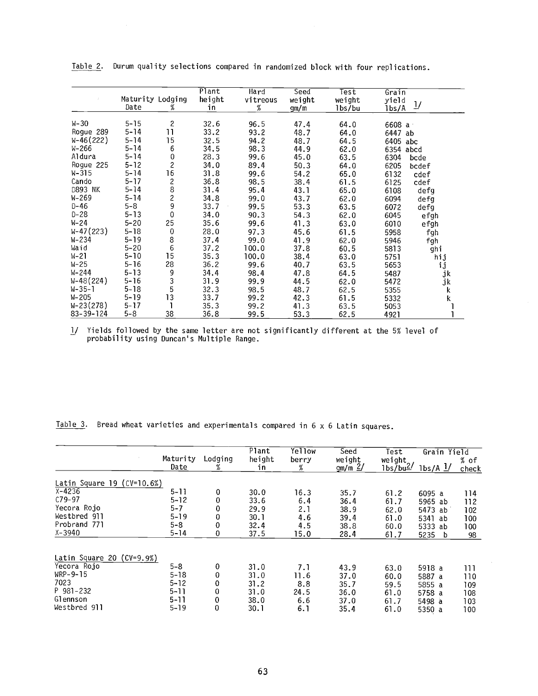|             | Maturity Lodging<br>Date | %                       | $\overline{\mathsf{Plant}}$<br>height<br>in | Hard<br>vitreous<br>% | Seed<br>weight<br>gm/m | Test<br>weight<br>1bs/bu | Grain<br>yield<br>1bs/A | $\mathbf{I}/$ |
|-------------|--------------------------|-------------------------|---------------------------------------------|-----------------------|------------------------|--------------------------|-------------------------|---------------|
| $W - 30$    | $5 - 15$                 | $\overline{\mathbf{c}}$ |                                             |                       |                        |                          |                         |               |
|             | $5 - 14$                 | 11                      | 32.6                                        | 96.5                  | 47.4                   | 64.0                     | 6608 a                  |               |
| Roque 289   |                          |                         | 33.2                                        | 93.2                  | 48.7                   | 64.0                     | 6447                    | ab            |
| $W-46(222)$ | $5 - 14$                 | 15                      | 32.5                                        | 94.2                  | 48.7                   | 64.5                     | 6405 abc                |               |
| W-266       | $5 - 14$                 | 6                       | 34.5                                        | 98.3                  | 44.9                   | 62.0                     | 6354 abcd               |               |
| Aldura      | $5 - 14$                 | 0                       | 28.3                                        | 99.6                  | 45.0                   | 63.5                     | 6304                    | bcde          |
| Rogue 225   | $5 - 12$                 | $\overline{\mathbf{c}}$ | 34.0                                        | 89.4                  | 50.3                   | 64.0                     | 6205                    | bcdef         |
| W-315       | $5 - 14$                 | 16                      | 31.8                                        | 99.6                  | 54.2                   | 65.0                     | 6132                    | cdef          |
| Cando       | $5 - 17$                 | 2<br>8                  | 36.8                                        | 98.5                  | 38.4                   | 61.5                     | 6125                    | cdef          |
| D893 NK     | $5 - 14$                 |                         | 31.4                                        | 95.4                  | 43.1                   | 65.0                     | 6108                    | defg          |
| W-269       | $5 - 14$                 |                         | 34.8                                        | 99.0                  | 43.7                   | 62.0                     | 6094                    | defg          |
| $D-46$      | $5 - 8$                  | 2<br>9                  | 33.7                                        | 99.5                  | 53.3                   | 63.5                     | 6072                    | defg          |
| $D - 28$    | $5 - 13$                 | 0                       | 34.0                                        | 90.3                  | 54.3                   | 62.0                     | 6045                    | efgh          |
| W-24        | $5 - 20$                 | 25                      | 35.6                                        | 99.6                  | 41.3                   | 63.0                     | 6010                    | efgh          |
| $W-47(223)$ | $5 - 18$                 | $\pmb{0}$               | 28.0                                        | 97.3                  | 45.6                   | 61.5                     | 5958                    | fgh           |
| $W - 234$   | $5 - 19$                 | 8                       | 37.4                                        | 99.0                  | 41.9                   | 62.0                     | 5946                    | fgh           |
| Waid        | $5 - 20$                 | 6                       | 37.2                                        | 100.0                 | 37.8                   | 60.5                     | 5813                    | ghi           |
| $N-21$      | $5 - 10$                 | 15                      | 35.3                                        | 100.0                 | 38.4                   | 63.0                     | 5751                    | hij           |
| W-25        | $5 - 16$                 | 28                      | 36.2                                        | 99.6                  | 40.7                   | 63.5                     | 5653                    | ij            |
| W-244       | $5 - 13$                 | 9                       | 34.4                                        | 98.4                  | 47.8                   | 64.5                     | 5487                    | jk            |
| W-48(224)   | $5 - 16$                 | $\overline{3}$          | 31.9                                        | 99.9                  | 44.5                   | 62.0                     | 5472                    | jk            |
| W-35-1      | $5 - 18$                 | 5                       | 32.3                                        | 98.5                  | 48.7                   | 62.5                     | 5355                    | k             |
| W-205       | $5 - 19$                 | 13                      | 33.7                                        | 99.2                  | 42.3                   | 61.5                     | 5332                    | k             |
| W-23(278)   | 5-17                     |                         | 35.3                                        | 99.2                  | 41.3                   | 63.5                     | 5053                    |               |
| 83-39-124   | 5-8                      | 38                      | 36.8                                        | 99.5                  | 53.3                   | 62.5                     | 4921                    |               |

Table 2. Durum quality selections compared in randomized block with four replications.

1/ Yields followed by the same letter are not significantly different at the 5% level of probability using Duncan's Multiple Range.

Table 3. Bread wheat varieties and experimentals compared in  $6 \times 6$  Latin squares.

|                                |                  |              | Plant        | Yellow     | Seed                | <b>Test</b>                                  | Grain Yield          |                 |
|--------------------------------|------------------|--------------|--------------|------------|---------------------|----------------------------------------------|----------------------|-----------------|
|                                | Maturity<br>Date | Lodging<br>℅ | height<br>in | berry<br>% | weight<br>$gm/m$ 2/ | weight<br>1 <sub>bs</sub> /bu <sup>2</sup> / | $1bs/A$ $1/$         | $%$ of<br>check |
| Latin Square 19 ( $CV=10.6\%)$ |                  |              |              |            |                     |                                              |                      |                 |
| $X - 4236$                     | $5 - 11$         | 0            | 30.0         | 16.3       | 35.7                | 61.2                                         | 6095 a               | 114             |
| $C79 - 97$                     | $5 - 12$         | 0            | 33.6         | 6.4        | 36.4                | 61.7                                         | 5965 ab              | 112             |
| Yecora Rojo                    | 5-7              | 0            | 29.9         | 2.1        | 38.9                | 62.0                                         | 5473 ab              | 102             |
| Westbred 911                   | $5 - 19$         | 0            | 30.1         | 4.6        | 39.4                | 61.0                                         | 5341<br>ab           | 100             |
| Probrand 771                   | $5 - 8$          | 0            | 32.4         | 4.5        | 38.8                | 60.0                                         | 5333 ab              | 100             |
| $X - 3940$                     | $5 - 14$         | 0            | 37.5         | 15.0       | 28.4                | 61.7                                         | 5235<br>$\mathbf{b}$ | 98              |
| Latin Square 20 $(CV=9.9%)$    |                  |              |              |            |                     |                                              |                      |                 |
| Yecora Rojo                    | $5 - 8$          | 0            | 31.0         | 7.1        | 43.9                | 63.0                                         | 5918 a               | 111             |
| WRP-9-15                       | $5 - 18$         | 0            | 31.0         | 11.6       | 37.0                | 60.0                                         | 5887 a               | 110             |
| 7023                           | $5 - 12$         | 0            | 31.2         | 8.8        | 35.7                | 59.5                                         | 5855 a               | 109             |
| $P$ 981-232                    | $5 - 11$         | 0            | 31.0         | 24.5       | 36.0                | 61.0                                         | 5758 a               | 108             |
| Glennson                       | $5 - 11$         | 0            | 38.0         | 6.6        | 37.0                | 61.7                                         | 5498 a               | 103             |
| Westbred 911                   | $5 - 19$         | 0            | 30.1         | 6.1        | 35.4                | 61.0                                         | 5350 a               | 100             |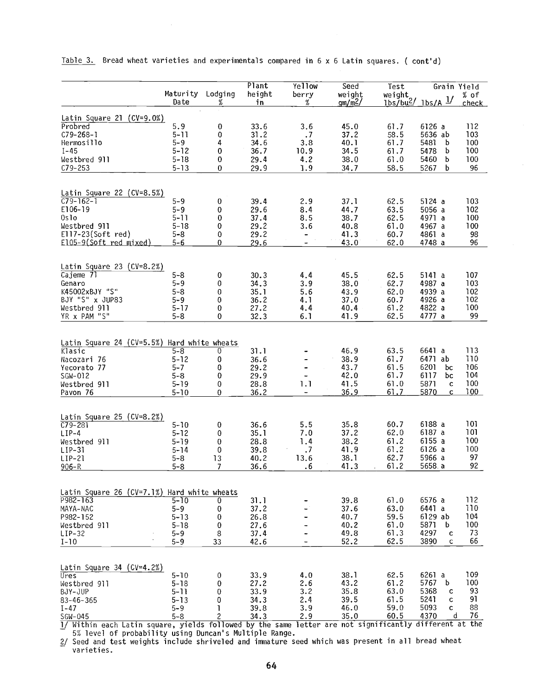|                                             | Maturity Lodging<br>Date | %              | Plant<br>height<br>in | Yellow<br>berry<br>%     | Seed<br>weight<br>gm/m <sup>2</sup> | Test<br>weight | Grain Yield<br>$1bs/bu^2/1bs/A$ 1/ | % of<br><u>check</u> |
|---------------------------------------------|--------------------------|----------------|-----------------------|--------------------------|-------------------------------------|----------------|------------------------------------|----------------------|
| Latin Square 21 $(CV=9.0%)$                 |                          |                |                       |                          |                                     |                |                                    |                      |
| Probred                                     | 5.9                      | 0              | 33.6                  | 3.6                      | 45.0                                | 61.7           | 6126a                              | 112                  |
| $C79 - 268 - 1$                             | $5 - 11$                 | 0              | 31.2                  | $\cdot$ 7                | 37.2                                | 58.5           | 5636 ab                            | 103                  |
| Hermosillo                                  | $5 - 9$                  | 4              | 34.6                  | 3.8                      | 40.1                                | 61.7           | 5481<br>b                          | 100                  |
| $I - 45$                                    | $5 - 12$                 | 0              | 36.7                  | 10.9                     | 34.5                                | 61.7           | 5478<br>b                          | 100                  |
| Westbred 911                                | $5 - 18$                 | 0              | 29.4                  | 4.2                      | 38.0                                | 61.0           | 5460<br>b                          | 100                  |
| $C79 - 253$                                 | $5 - 13$                 | 0              | 29.9                  | 1.9                      | 34.7                                | 58.5           | 5267<br>b                          | 96                   |
|                                             |                          |                |                       |                          |                                     |                |                                    |                      |
| Latin Square 22 ( $CV=8.5\%)$               |                          |                |                       |                          |                                     |                |                                    |                      |
| $C79 - 162 - 1$                             | $5 - 9$                  | 0              | 39.4                  | 2.9                      | 37.1                                | 62.5           | 5124 a                             | 103                  |
| E106-19                                     | $5 - 9$                  | 0              | 29.6                  | 8.4                      | 44.7                                | 63.5           | 5056 a                             | 102                  |
| 0s1o                                        | $5 - 11$                 | 0              | 37.4                  | 8.5                      | 38.7                                | 62.5           | 4971 a                             | 100                  |
| Westbred 911                                | $5 - 18$                 | 0              | 29.2                  | 3.6                      | 40.8                                | 61.0           | 4967 a                             | 100                  |
| E117-23(Soft red)                           | $5 - 8$                  | 0              | 29.2                  |                          | 41.3                                | 60.7           | 4861 a                             | 98                   |
| El05-9(Soft red mixed)                      | $5 - 6$                  | 0              | 29.6                  |                          | 43.0                                | 62.0           | 4748 a                             | 96                   |
|                                             |                          |                |                       |                          |                                     |                |                                    |                      |
| Latin Square 23 (CV=8.2%)                   |                          |                |                       |                          |                                     |                |                                    |                      |
| Cajeme 71                                   | $5 - 8$                  | 0              | 30.3                  | 4.4                      | 45.5                                | 62.5           | 5141 a                             | 107                  |
| Genaro                                      | $5 - 9$                  | 0              | 34.3                  | 3.9                      | 38.0                                | 62.7           | 4987 a                             | 103                  |
| K45002xBJY "S"                              | $5 - 8$                  | 0              | 35.1                  | 5.6                      | 43.9                                | 62.0           | 4939 a                             | 102                  |
| BJY "S" x JUP83                             | $5 - 9$                  | 0              | 36.2                  | 4.1                      | 37.0                                | 60.7           | 4926 a                             | 102                  |
| Westbred 911                                | $5 - 17$                 | 0              | 27.2                  | 4.4                      | 40.4                                | 61.2           | 4822 a                             | 100                  |
| YR x PAM "S"                                | $5 - 8$                  | 0              | 32.3                  | 6.1                      | 41.9                                | 62.5           | 4777 a                             | 99                   |
|                                             |                          |                |                       |                          |                                     |                |                                    |                      |
| Latin Square 24 (CV=5.5%) Hard white wheats |                          |                |                       |                          |                                     |                |                                    |                      |
| Klasic                                      | $5 - 8$                  | 0              | 31.1                  |                          | 46.9                                | 63.5           | 6641 a                             | 113                  |
| Nacozari 76                                 | $5 - 12$                 | 0              | 36.6                  |                          | 38.9                                | 61.7           | 6471 ab                            | 110                  |
| Yecorato 77                                 | $5 - 7$                  | 0              | 29.2                  |                          | 43.7                                | 61.5           | 6201<br>bc                         | 106                  |
| SGW-012                                     | $5 - 8$                  | 0              | 29.9                  |                          | 42.0                                | 61.7           | 6117<br>bc                         | 104                  |
| Westbred 911                                | $5 - 19$                 | 0              | 28.8                  | 1.1                      | 41.5                                | 61.0           | 5871<br>c                          | 100                  |
| Pavon 76                                    | $5 - 10$                 | 0              | 36.2                  | $\overline{\phantom{a}}$ | 36.9                                | 61.7           | 5870<br>c                          | <u>100</u>           |
|                                             |                          |                |                       |                          |                                     |                |                                    |                      |
| Latin Square 25 (CV=8.2%)                   |                          |                |                       |                          |                                     |                |                                    |                      |
| $C79 - 281$                                 | $5 - 10$                 | 0              | 36.6                  | 5.5                      | 35.8                                | 60.7           | 6188 a                             | 101                  |
| $LIP-4$                                     | $5 - 12$                 | 0              | 35.1                  | 7.0                      | 37.2                                | 62.0           | 6187 a                             | 101                  |
| Westbred 911                                | $5 - 19$                 | 0              | 28.8                  | 1.4                      | 38.2                                | 61.2           | 6155a                              | 100                  |
| $LIP-31$                                    | $5 - 14$                 | 0              | 39.8                  | $\cdot$                  | 41.9                                | 61.2           | 6126 a                             | 100                  |
| $LIP-21$                                    | $5 - 8$                  | 13             | 40.2                  | 13.6                     | 38.1                                | 62.7           | 5966 a                             | 97                   |
| $906 - R$                                   | $5 - 8$                  | 7              | 36.6                  | .6                       | 41.3                                | 61.2           | 5658.a                             | 92                   |
|                                             |                          |                |                       |                          |                                     |                |                                    |                      |
| Latin Square 26 (CV=7.1%) Hard white wheats |                          |                |                       |                          |                                     |                |                                    |                      |
| P982-163                                    | $5 - 10$                 | 0              | 31.1                  |                          | 39.8                                | 61.0           | 6576 a                             | 112                  |
| MAYA-NAC                                    | $5 - 9$                  | 0              | 37.2                  |                          | 37.6                                | 63.0           | 6441 a                             | 110                  |
| P982-152                                    | $5 - 13$                 | 0              | 26.8                  |                          | 40.7                                | 59.5           | 6129 ab                            | 104                  |
| Westbred 911                                | $5 - 18$                 | 0              | 27.6                  |                          | 40.2                                | 61.0           | 5871<br>b                          | 100                  |
| $LIP-32$                                    | 5–9                      | 8              | 37.4                  |                          | 49.8                                | 61.3           | 4297<br>c                          | 73                   |
| $I-10$                                      | $5 - 9$                  | 33             | 42.6                  |                          | 52.2                                | 62.5           | 3890<br>c                          | 66                   |
|                                             |                          |                |                       |                          |                                     |                |                                    |                      |
| Latin Square 34 (CV=4.2%)                   |                          |                |                       |                          |                                     |                |                                    |                      |
| Ures                                        | $5 - 10$                 | 0              | 33.9                  | 4.0                      | 38.1                                | 62.5           | 6261 a                             | 109                  |
| Westbred 911                                | $5 - 18$                 | 0              | 27.2                  | 2.6                      | 43.2                                | 61.2           | 5767<br>b                          | 100                  |
| BJY-JUP                                     | $5 - 11$                 | 0              | 33.9                  | 3.2                      | 35.8                                | 63.0           | 5368<br>c                          | 93                   |
| $83 - 46 - 365$                             | $5 - 13$                 | 0              | 34.3                  | 2.4                      | 39.5                                | 61.5           | 5241<br>C                          | 91                   |
| $I - 47$                                    | $5 - 9$                  | ı              | 39.8                  | 3.9                      | 46.0                                | 59.0           | 5093<br>C.                         | 88                   |
| SGW-045                                     | $5 - 8$                  | $\overline{c}$ | 34.3                  | 2.9                      | 35.0                                | 60.5           | 4370<br>đ                          | 76                   |

Table 3. Bread wheat varieties and experimentals compared in 6 x 6 Latin squares. ( cont'd)

1/ Within each Latin square, yields followed by the same letter are not significantly different at the 5% level of probability using Duncan's Multiple Range.

2/ Seed and test weights include shriveled and immature seed which was present in all bread wheat varieties.